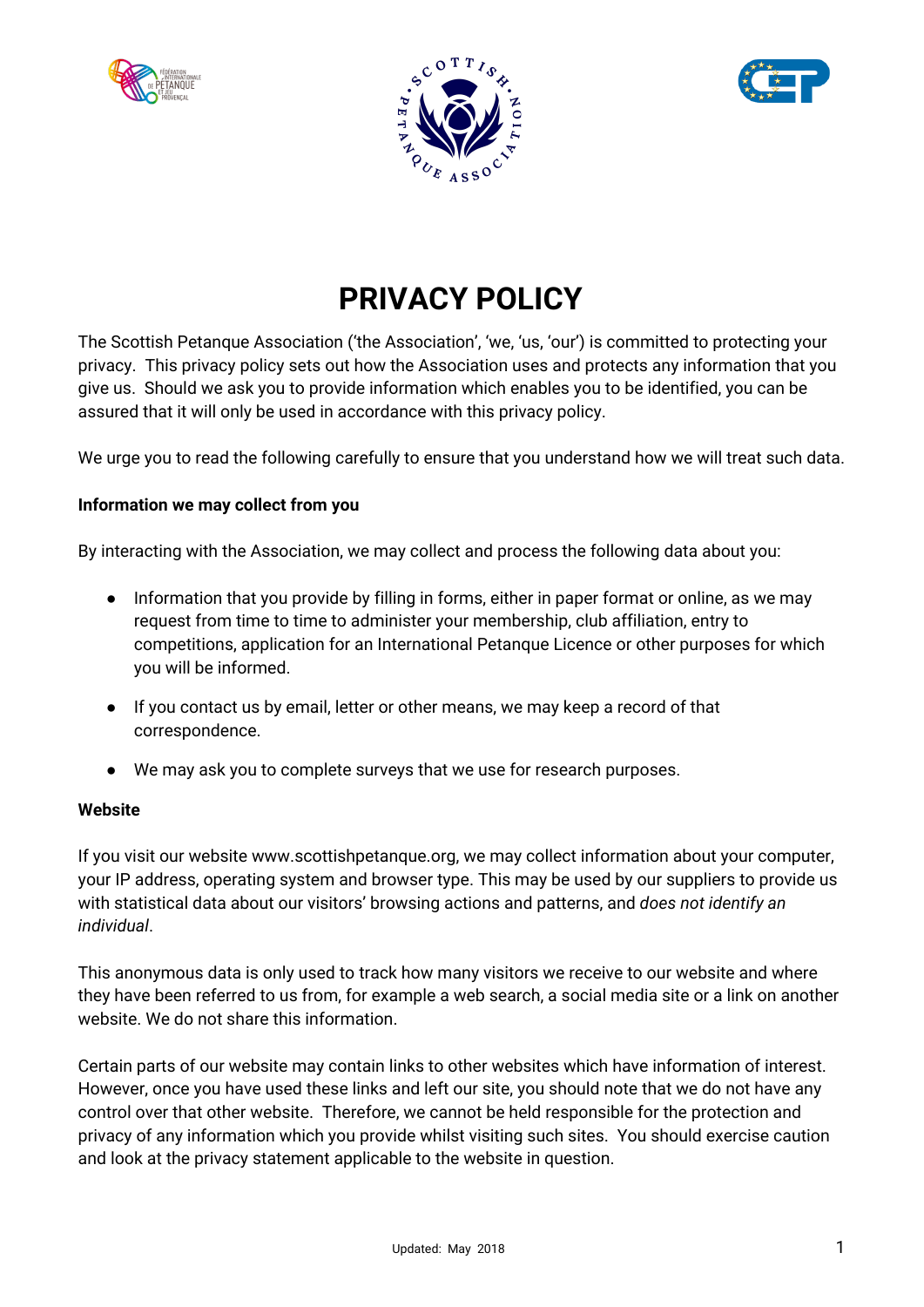





# **PRIVACY POLICY**

The Scottish Petanque Association ('the Association', 'we, 'us, 'our') is committed to protecting your privacy. This privacy policy sets out how the Association uses and protects any information that you give us. Should we ask you to provide information which enables you to be identified, you can be assured that it will only be used in accordance with this privacy policy.

We urge you to read the following carefully to ensure that you understand how we will treat such data.

## **Information we may collect from you**

By interacting with the Association, we may collect and process the following data about you:

- Information that you provide by filling in forms, either in paper format or online, as we may request from time to time to administer your membership, club affiliation, entry to competitions, application for an International Petanque Licence or other purposes for which you will be informed.
- If you contact us by email, letter or other means, we may keep a record of that correspondence.
- We may ask you to complete surveys that we use for research purposes.

#### **Website**

If you visit our website www.scottishpetanque.org, we may collect information about your computer, your IP address, operating system and browser type. This may be used by our suppliers to provide us with statistical data about our visitors' browsing actions and patterns, and *does not identify an individual*.

This anonymous data is only used to track how many visitors we receive to our website and where they have been referred to us from, for example a web search, a social media site or a link on another website. We do not share this information.

Certain parts of our website may contain links to other websites which have information of interest. However, once you have used these links and left our site, you should note that we do not have any control over that other website. Therefore, we cannot be held responsible for the protection and privacy of any information which you provide whilst visiting such sites. You should exercise caution and look at the privacy statement applicable to the website in question.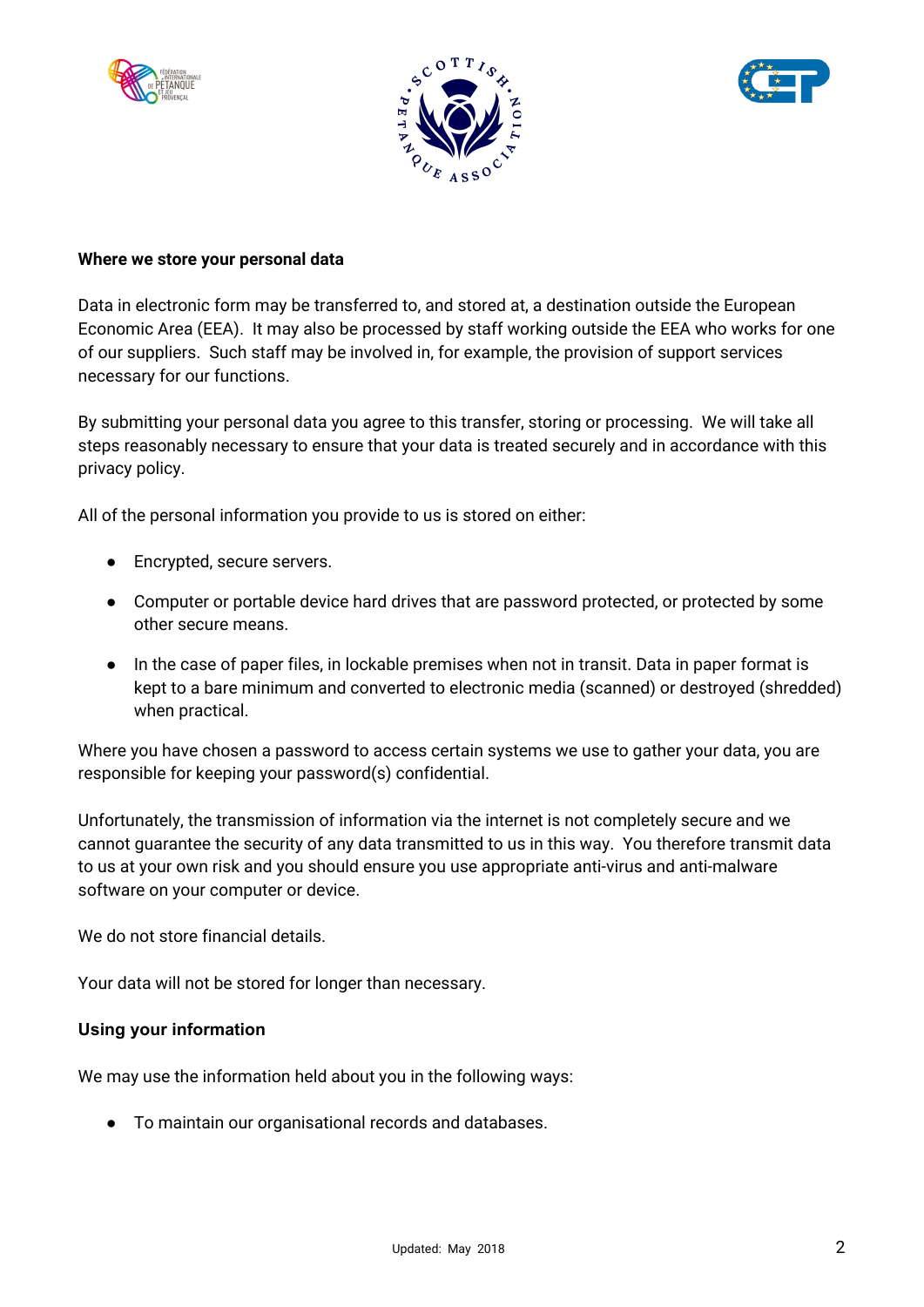





#### **Where we store your personal data**

Data in electronic form may be transferred to, and stored at, a destination outside the European Economic Area (EEA). It may also be processed by staff working outside the EEA who works for one of our suppliers. Such staff may be involved in, for example, the provision of support services necessary for our functions.

By submitting your personal data you agree to this transfer, storing or processing. We will take all steps reasonably necessary to ensure that your data is treated securely and in accordance with this privacy policy.

All of the personal information you provide to us is stored on either:

- Encrypted, secure servers.
- Computer or portable device hard drives that are password protected, or protected by some other secure means.
- In the case of paper files, in lockable premises when not in transit. Data in paper format is kept to a bare minimum and converted to electronic media (scanned) or destroyed (shredded) when practical.

Where you have chosen a password to access certain systems we use to gather your data, you are responsible for keeping your password(s) confidential.

Unfortunately, the transmission of information via the internet is not completely secure and we cannot guarantee the security of any data transmitted to us in this way. You therefore transmit data to us at your own risk and you should ensure you use appropriate anti-virus and anti-malware software on your computer or device.

We do not store financial details.

Your data will not be stored for longer than necessary.

#### **Using your information**

We may use the information held about you in the following ways:

● To maintain our organisational records and databases.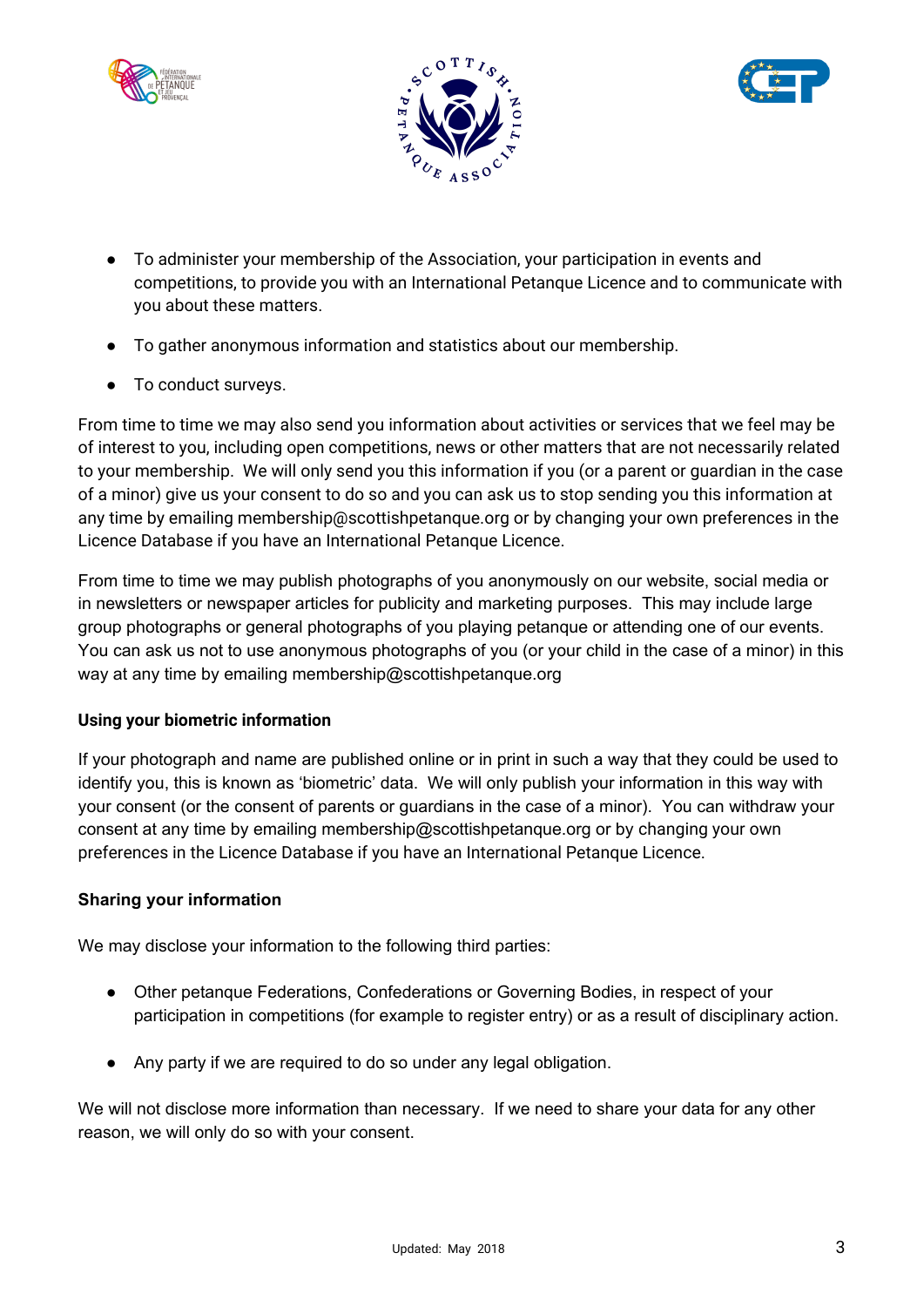





- To administer your membership of the Association, your participation in events and competitions, to provide you with an International Petanque Licence and to communicate with you about these matters.
- To gather anonymous information and statistics about our membership.
- To conduct surveys.

From time to time we may also send you information about activities or services that we feel may be of interest to you, including open competitions, news or other matters that are not necessarily related to your membership. We will only send you this information if you (or a parent or guardian in the case of a minor) give us your consent to do so and you can ask us to stop sending you this information at any time by emailing membership@scottishpetanque.org or by changing your own preferences in the Licence Database if you have an International Petanque Licence.

From time to time we may publish photographs of you anonymously on our website, social media or in newsletters or newspaper articles for publicity and marketing purposes. This may include large group photographs or general photographs of you playing petanque or attending one of our events. You can ask us not to use anonymous photographs of you (or your child in the case of a minor) in this way at any time by emailing membership@scottishpetanque.org

## **Using your biometric information**

If your photograph and name are published online or in print in such a way that they could be used to identify you, this is known as 'biometric' data. We will only publish your information in this way with your consent (or the consent of parents or guardians in the case of a minor). You can withdraw your consent at any time by emailing membership@scottishpetanque.org or by changing your own preferences in the Licence Database if you have an International Petanque Licence.

#### **Sharing your information**

We may disclose your information to the following third parties:

- Other petanque Federations, Confederations or Governing Bodies, in respect of your participation in competitions (for example to register entry) or as a result of disciplinary action.
- Any party if we are required to do so under any legal obligation.

We will not disclose more information than necessary. If we need to share your data for any other reason, we will only do so with your consent.